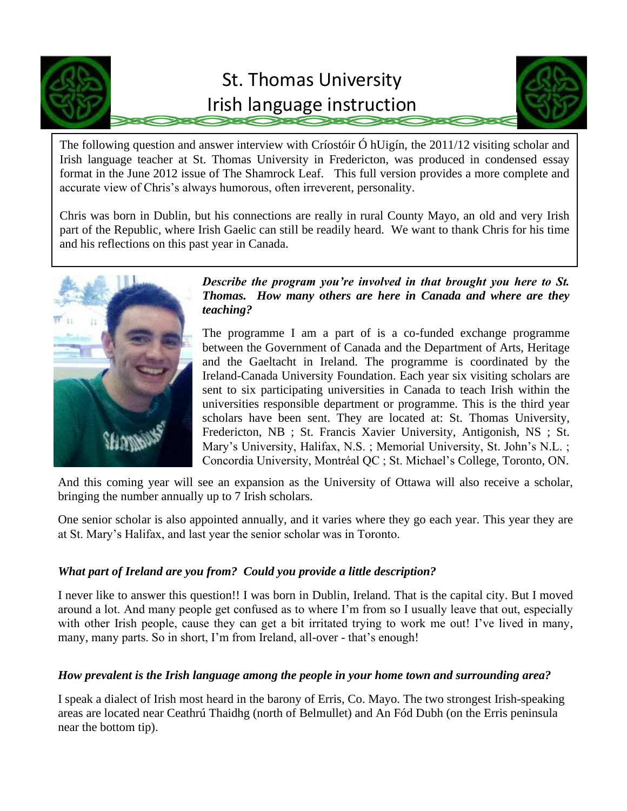

# St. Thomas University Irish language instruction



The following question and answer interview with Críostóir Ó hUigín, the 2011/12 visiting scholar and Irish language teacher at St. Thomas University in Fredericton, was produced in condensed essay format in the June 2012 issue of The Shamrock Leaf. This full version provides a more complete and accurate view of Chris's always humorous, often irreverent, personality.

Chris was born in Dublin, but his connections are really in rural County Mayo, an old and very Irish part of the Republic, where Irish Gaelic can still be readily heard. We want to thank Chris for his time and his reflections on this past year in Canada.



# *Describe the program you're involved in that brought you here to St. Thomas. How many others are here in Canada and where are they teaching?*

The programme I am a part of is a co-funded exchange programme between the Government of Canada and the Department of Arts, Heritage and the Gaeltacht in Ireland. The programme is coordinated by the Ireland-Canada University Foundation. Each year six visiting scholars are sent to six participating universities in Canada to teach Irish within the universities responsible department or programme. This is the third year scholars have been sent. They are located at: St. Thomas University, Fredericton, NB ; St. Francis Xavier University, Antigonish, NS ; St. Mary's University, Halifax, N.S. ; Memorial University, St. John's N.L. ; Concordia University, Montréal QC ; St. Michael's College, Toronto, ON.

And this coming year will see an expansion as the University of Ottawa will also receive a scholar, bringing the number annually up to 7 Irish scholars.

One senior scholar is also appointed annually, and it varies where they go each year. This year they are at St. Mary's Halifax, and last year the senior scholar was in Toronto.

# *What part of Ireland are you from? Could you provide a little description?*

I never like to answer this question!! I was born in Dublin, Ireland. That is the capital city. But I moved around a lot. And many people get confused as to where I'm from so I usually leave that out, especially with other Irish people, cause they can get a bit irritated trying to work me out! I've lived in many, many, many parts. So in short, I'm from Ireland, all-over - that's enough!

# *How prevalent is the Irish language among the people in your home town and surrounding area?*

I speak a dialect of Irish most heard in the barony of Erris, Co. Mayo. The two strongest Irish-speaking areas are located near Ceathrú Thaidhg (north of Belmullet) and An Fód Dubh (on the Erris peninsula near the bottom tip).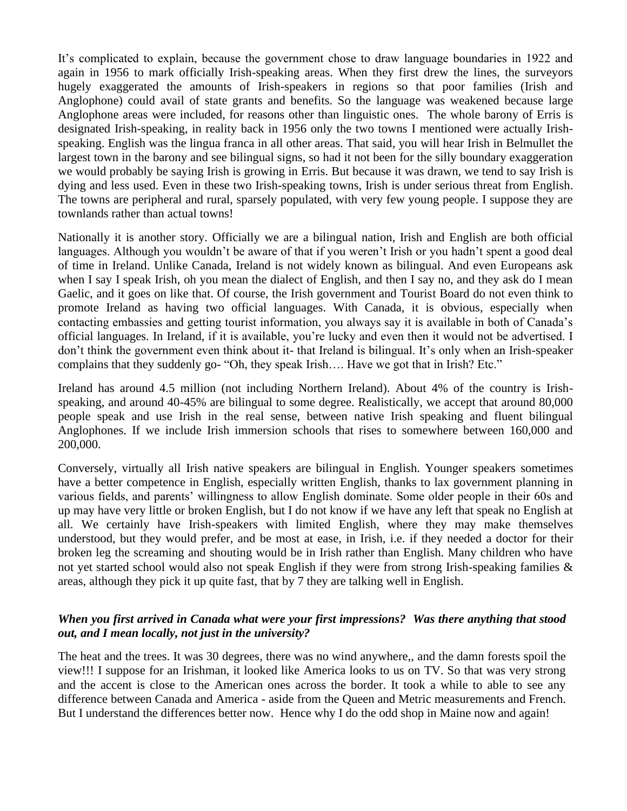It's complicated to explain, because the government chose to draw language boundaries in 1922 and again in 1956 to mark officially Irish-speaking areas. When they first drew the lines, the surveyors hugely exaggerated the amounts of Irish-speakers in regions so that poor families (Irish and Anglophone) could avail of state grants and benefits. So the language was weakened because large Anglophone areas were included, for reasons other than linguistic ones. The whole barony of Erris is designated Irish-speaking, in reality back in 1956 only the two towns I mentioned were actually Irishspeaking. English was the lingua franca in all other areas. That said, you will hear Irish in Belmullet the largest town in the barony and see bilingual signs, so had it not been for the silly boundary exaggeration we would probably be saying Irish is growing in Erris. But because it was drawn, we tend to say Irish is dying and less used. Even in these two Irish-speaking towns, Irish is under serious threat from English. The towns are peripheral and rural, sparsely populated, with very few young people. I suppose they are townlands rather than actual towns!

Nationally it is another story. Officially we are a bilingual nation, Irish and English are both official languages. Although you wouldn't be aware of that if you weren't Irish or you hadn't spent a good deal of time in Ireland. Unlike Canada, Ireland is not widely known as bilingual. And even Europeans ask when I say I speak Irish, oh you mean the dialect of English, and then I say no, and they ask do I mean Gaelic, and it goes on like that. Of course, the Irish government and Tourist Board do not even think to promote Ireland as having two official languages. With Canada, it is obvious, especially when contacting embassies and getting tourist information, you always say it is available in both of Canada's official languages. In Ireland, if it is available, you're lucky and even then it would not be advertised. I don't think the government even think about it- that Ireland is bilingual. It's only when an Irish-speaker complains that they suddenly go- "Oh, they speak Irish…. Have we got that in Irish? Etc."

Ireland has around 4.5 million (not including Northern Ireland). About 4% of the country is Irishspeaking, and around 40-45% are bilingual to some degree. Realistically, we accept that around 80,000 people speak and use Irish in the real sense, between native Irish speaking and fluent bilingual Anglophones. If we include Irish immersion schools that rises to somewhere between 160,000 and 200,000.

Conversely, virtually all Irish native speakers are bilingual in English. Younger speakers sometimes have a better competence in English, especially written English, thanks to lax government planning in various fields, and parents' willingness to allow English dominate. Some older people in their 60s and up may have very little or broken English, but I do not know if we have any left that speak no English at all. We certainly have Irish-speakers with limited English, where they may make themselves understood, but they would prefer, and be most at ease, in Irish, i.e. if they needed a doctor for their broken leg the screaming and shouting would be in Irish rather than English. Many children who have not yet started school would also not speak English if they were from strong Irish-speaking families & areas, although they pick it up quite fast, that by 7 they are talking well in English.

#### *When you first arrived in Canada what were your first impressions? Was there anything that stood out, and I mean locally, not just in the university?*

The heat and the trees. It was 30 degrees, there was no wind anywhere,, and the damn forests spoil the view!!! I suppose for an Irishman, it looked like America looks to us on TV. So that was very strong and the accent is close to the American ones across the border. It took a while to able to see any difference between Canada and America - aside from the Queen and Metric measurements and French. But I understand the differences better now. Hence why I do the odd shop in Maine now and again!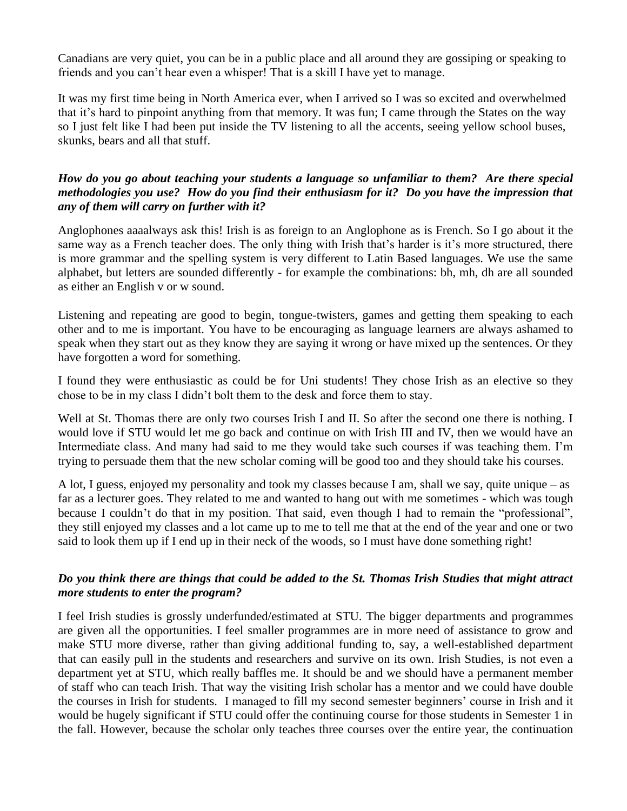Canadians are very quiet, you can be in a public place and all around they are gossiping or speaking to friends and you can't hear even a whisper! That is a skill I have yet to manage.

It was my first time being in North America ever, when I arrived so I was so excited and overwhelmed that it's hard to pinpoint anything from that memory. It was fun; I came through the States on the way so I just felt like I had been put inside the TV listening to all the accents, seeing yellow school buses, skunks, bears and all that stuff.

## *How do you go about teaching your students a language so unfamiliar to them? Are there special methodologies you use? How do you find their enthusiasm for it? Do you have the impression that any of them will carry on further with it?*

Anglophones aaaalways ask this! Irish is as foreign to an Anglophone as is French. So I go about it the same way as a French teacher does. The only thing with Irish that's harder is it's more structured, there is more grammar and the spelling system is very different to Latin Based languages. We use the same alphabet, but letters are sounded differently - for example the combinations: bh, mh, dh are all sounded as either an English v or w sound.

Listening and repeating are good to begin, tongue-twisters, games and getting them speaking to each other and to me is important. You have to be encouraging as language learners are always ashamed to speak when they start out as they know they are saying it wrong or have mixed up the sentences. Or they have forgotten a word for something.

I found they were enthusiastic as could be for Uni students! They chose Irish as an elective so they chose to be in my class I didn't bolt them to the desk and force them to stay.

Well at St. Thomas there are only two courses Irish I and II. So after the second one there is nothing. I would love if STU would let me go back and continue on with Irish III and IV, then we would have an Intermediate class. And many had said to me they would take such courses if was teaching them. I'm trying to persuade them that the new scholar coming will be good too and they should take his courses.

A lot, I guess, enjoyed my personality and took my classes because I am, shall we say, quite unique – as far as a lecturer goes. They related to me and wanted to hang out with me sometimes - which was tough because I couldn't do that in my position. That said, even though I had to remain the "professional", they still enjoyed my classes and a lot came up to me to tell me that at the end of the year and one or two said to look them up if I end up in their neck of the woods, so I must have done something right!

#### *Do you think there are things that could be added to the St. Thomas Irish Studies that might attract more students to enter the program?*

I feel Irish studies is grossly underfunded/estimated at STU. The bigger departments and programmes are given all the opportunities. I feel smaller programmes are in more need of assistance to grow and make STU more diverse, rather than giving additional funding to, say, a well-established department that can easily pull in the students and researchers and survive on its own. Irish Studies, is not even a department yet at STU, which really baffles me. It should be and we should have a permanent member of staff who can teach Irish. That way the visiting Irish scholar has a mentor and we could have double the courses in Irish for students. I managed to fill my second semester beginners' course in Irish and it would be hugely significant if STU could offer the continuing course for those students in Semester 1 in the fall. However, because the scholar only teaches three courses over the entire year, the continuation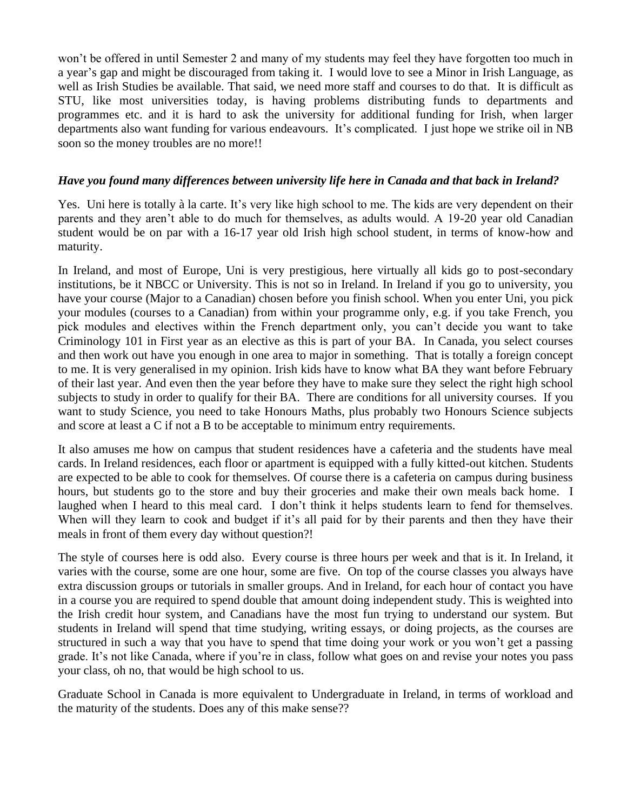won't be offered in until Semester 2 and many of my students may feel they have forgotten too much in a year's gap and might be discouraged from taking it. I would love to see a Minor in Irish Language, as well as Irish Studies be available. That said, we need more staff and courses to do that. It is difficult as STU, like most universities today, is having problems distributing funds to departments and programmes etc. and it is hard to ask the university for additional funding for Irish, when larger departments also want funding for various endeavours. It's complicated. I just hope we strike oil in NB soon so the money troubles are no more!!

#### *Have you found many differences between university life here in Canada and that back in Ireland?*

Yes. Uni here is totally à la carte. It's very like high school to me. The kids are very dependent on their parents and they aren't able to do much for themselves, as adults would. A 19-20 year old Canadian student would be on par with a 16-17 year old Irish high school student, in terms of know-how and maturity.

In Ireland, and most of Europe, Uni is very prestigious, here virtually all kids go to post-secondary institutions, be it NBCC or University. This is not so in Ireland. In Ireland if you go to university, you have your course (Major to a Canadian) chosen before you finish school. When you enter Uni, you pick your modules (courses to a Canadian) from within your programme only, e.g. if you take French, you pick modules and electives within the French department only, you can't decide you want to take Criminology 101 in First year as an elective as this is part of your BA. In Canada, you select courses and then work out have you enough in one area to major in something. That is totally a foreign concept to me. It is very generalised in my opinion. Irish kids have to know what BA they want before February of their last year. And even then the year before they have to make sure they select the right high school subjects to study in order to qualify for their BA. There are conditions for all university courses. If you want to study Science, you need to take Honours Maths, plus probably two Honours Science subjects and score at least a C if not a B to be acceptable to minimum entry requirements.

It also amuses me how on campus that student residences have a cafeteria and the students have meal cards. In Ireland residences, each floor or apartment is equipped with a fully kitted-out kitchen. Students are expected to be able to cook for themselves. Of course there is a cafeteria on campus during business hours, but students go to the store and buy their groceries and make their own meals back home. I laughed when I heard to this meal card. I don't think it helps students learn to fend for themselves. When will they learn to cook and budget if it's all paid for by their parents and then they have their meals in front of them every day without question?!

The style of courses here is odd also. Every course is three hours per week and that is it. In Ireland, it varies with the course, some are one hour, some are five. On top of the course classes you always have extra discussion groups or tutorials in smaller groups. And in Ireland, for each hour of contact you have in a course you are required to spend double that amount doing independent study. This is weighted into the Irish credit hour system, and Canadians have the most fun trying to understand our system. But students in Ireland will spend that time studying, writing essays, or doing projects, as the courses are structured in such a way that you have to spend that time doing your work or you won't get a passing grade. It's not like Canada, where if you're in class, follow what goes on and revise your notes you pass your class, oh no, that would be high school to us.

Graduate School in Canada is more equivalent to Undergraduate in Ireland, in terms of workload and the maturity of the students. Does any of this make sense??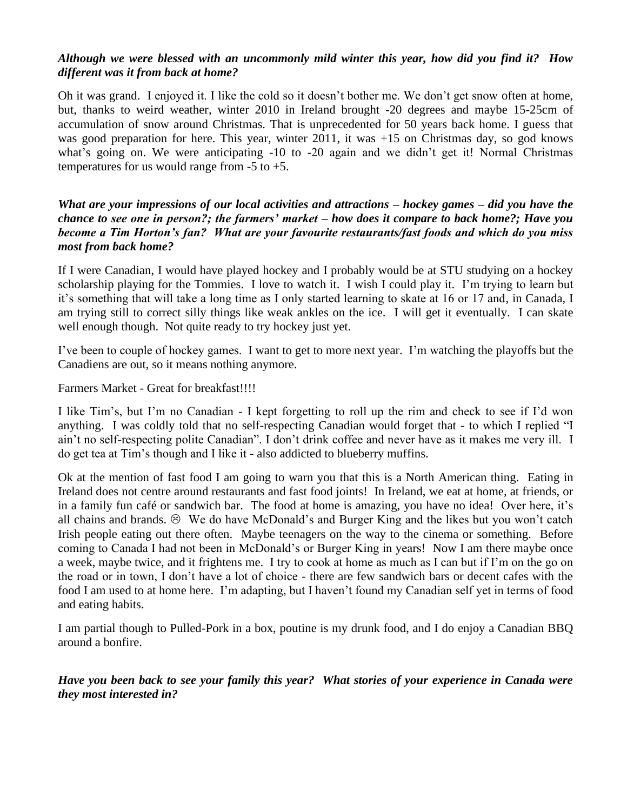## *Although we were blessed with an uncommonly mild winter this year, how did you find it? How different was it from back at home?*

Oh it was grand. I enjoyed it. I like the cold so it doesn't bother me. We don't get snow often at home, but, thanks to weird weather, winter 2010 in Ireland brought -20 degrees and maybe 15-25cm of accumulation of snow around Christmas. That is unprecedented for 50 years back home. I guess that was good preparation for here. This year, winter 2011, it was +15 on Christmas day, so god knows what's going on. We were anticipating -10 to -20 again and we didn't get it! Normal Christmas temperatures for us would range from  $-5$  to  $+5$ .

*What are your impressions of our local activities and attractions – hockey games – did you have the chance to see one in person?; the farmers' market – how does it compare to back home?; Have you become a Tim Horton's fan? What are your favourite restaurants/fast foods and which do you miss most from back home?*

If I were Canadian, I would have played hockey and I probably would be at STU studying on a hockey scholarship playing for the Tommies. I love to watch it. I wish I could play it. I'm trying to learn but it's something that will take a long time as I only started learning to skate at 16 or 17 and, in Canada, I am trying still to correct silly things like weak ankles on the ice. I will get it eventually. I can skate well enough though. Not quite ready to try hockey just yet.

I've been to couple of hockey games. I want to get to more next year. I'm watching the playoffs but the Canadiens are out, so it means nothing anymore.

Farmers Market - Great for breakfast!!!!

I like Tim's, but I'm no Canadian - I kept forgetting to roll up the rim and check to see if I'd won anything. I was coldly told that no self-respecting Canadian would forget that - to which I replied "I ain't no self-respecting polite Canadian". I don't drink coffee and never have as it makes me very ill. I do get tea at Tim's though and I like it - also addicted to blueberry muffins.

Ok at the mention of fast food I am going to warn you that this is a North American thing. Eating in Ireland does not centre around restaurants and fast food joints! In Ireland, we eat at home, at friends, or in a family fun café or sandwich bar. The food at home is amazing, you have no idea! Over here, it's all chains and brands.  $\odot$  We do have McDonald's and Burger King and the likes but you won't catch Irish people eating out there often. Maybe teenagers on the way to the cinema or something. Before coming to Canada I had not been in McDonald's or Burger King in years! Now I am there maybe once a week, maybe twice, and it frightens me. I try to cook at home as much as I can but if I'm on the go on the road or in town, I don't have a lot of choice - there are few sandwich bars or decent cafes with the food I am used to at home here. I'm adapting, but I haven't found my Canadian self yet in terms of food and eating habits.

I am partial though to Pulled-Pork in a box, poutine is my drunk food, and I do enjoy a Canadian BBQ around a bonfire.

*Have you been back to see your family this year? What stories of your experience in Canada were they most interested in?*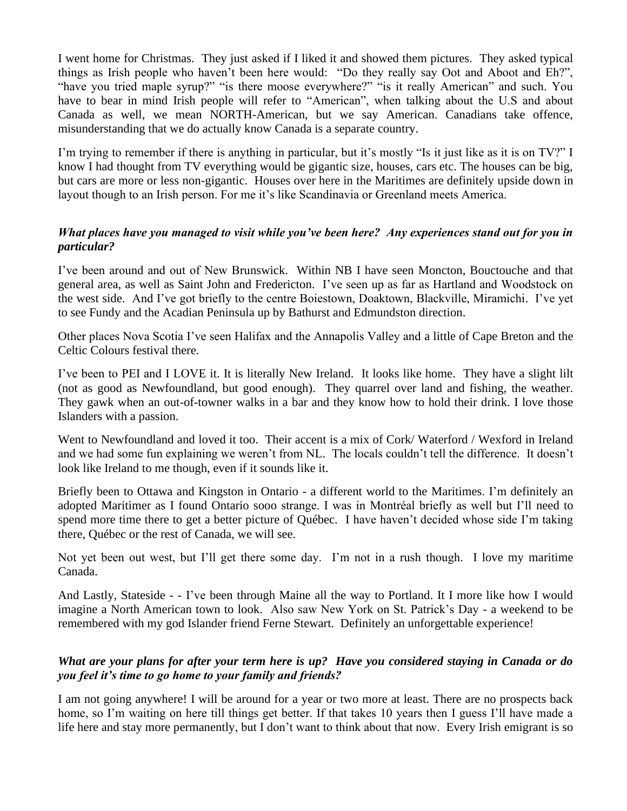I went home for Christmas. They just asked if I liked it and showed them pictures. They asked typical things as Irish people who haven't been here would: "Do they really say Oot and Aboot and Eh?", "have you tried maple syrup?" "is there moose everywhere?" "is it really American" and such. You have to bear in mind Irish people will refer to "American", when talking about the U.S and about Canada as well, we mean NORTH-American, but we say American. Canadians take offence, misunderstanding that we do actually know Canada is a separate country.

I'm trying to remember if there is anything in particular, but it's mostly "Is it just like as it is on TV?" I know I had thought from TV everything would be gigantic size, houses, cars etc. The houses can be big, but cars are more or less non-gigantic. Houses over here in the Maritimes are definitely upside down in layout though to an Irish person. For me it's like Scandinavia or Greenland meets America.

# *What places have you managed to visit while you've been here? Any experiences stand out for you in particular?*

I've been around and out of New Brunswick. Within NB I have seen Moncton, Bouctouche and that general area, as well as Saint John and Fredericton. I've seen up as far as Hartland and Woodstock on the west side. And I've got briefly to the centre Boiestown, Doaktown, Blackville, Miramichi. I've yet to see Fundy and the Acadian Peninsula up by Bathurst and Edmundston direction.

Other places Nova Scotia I've seen Halifax and the Annapolis Valley and a little of Cape Breton and the Celtic Colours festival there.

I've been to PEI and I LOVE it. It is literally New Ireland. It looks like home. They have a slight lilt (not as good as Newfoundland, but good enough). They quarrel over land and fishing, the weather. They gawk when an out-of-towner walks in a bar and they know how to hold their drink. I love those Islanders with a passion.

Went to Newfoundland and loved it too. Their accent is a mix of Cork/ Waterford / Wexford in Ireland and we had some fun explaining we weren't from NL. The locals couldn't tell the difference. It doesn't look like Ireland to me though, even if it sounds like it.

Briefly been to Ottawa and Kingston in Ontario - a different world to the Maritimes. I'm definitely an adopted Maritimer as I found Ontario sooo strange. I was in Montréal briefly as well but I'll need to spend more time there to get a better picture of Québec. I have haven't decided whose side I'm taking there, Québec or the rest of Canada, we will see.

Not yet been out west, but I'll get there some day. I'm not in a rush though. I love my maritime Canada.

And Lastly, Stateside - - I've been through Maine all the way to Portland. It I more like how I would imagine a North American town to look. Also saw New York on St. Patrick's Day - a weekend to be remembered with my god Islander friend Ferne Stewart. Definitely an unforgettable experience!

# *What are your plans for after your term here is up? Have you considered staying in Canada or do you feel it's time to go home to your family and friends?*

I am not going anywhere! I will be around for a year or two more at least. There are no prospects back home, so I'm waiting on here till things get better. If that takes 10 years then I guess I'll have made a life here and stay more permanently, but I don't want to think about that now. Every Irish emigrant is so